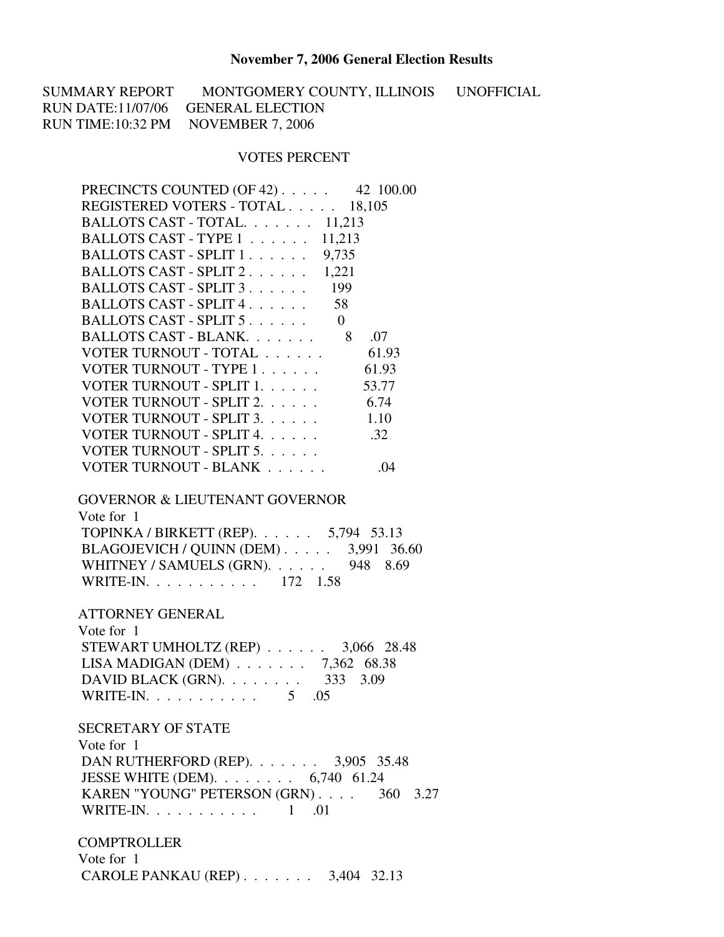## **November 7, 2006 General Election Results**

SUMMARY REPORT MONTGOMERY COUNTY, ILLINOIS UNOFFICIAL RUN DATE:11/07/06 GENERAL ELECTION RUN TIME:10:32 PM NOVEMBER 7, 2006

## VOTES PERCENT

| PRECINCTS COUNTED (OF 42) 42 100.00                                                                                                                                                                                            |
|--------------------------------------------------------------------------------------------------------------------------------------------------------------------------------------------------------------------------------|
| REGISTERED VOTERS - TOTAL 18,105                                                                                                                                                                                               |
| BALLOTS CAST - TOTAL. 11,213                                                                                                                                                                                                   |
| BALLOTS CAST - TYPE 1 11,213                                                                                                                                                                                                   |
| BALLOTS CAST - SPLIT 1. 9,735                                                                                                                                                                                                  |
| BALLOTS CAST - SPLIT 2. 1,221                                                                                                                                                                                                  |
| BALLOTS CAST - SPLIT 3. 199                                                                                                                                                                                                    |
| BALLOTS CAST - SPLIT 4. 58                                                                                                                                                                                                     |
| BALLOTS CAST - SPLIT 5.<br>$\overline{0}$                                                                                                                                                                                      |
| BALLOTS CAST - BLANK 8<br>.07                                                                                                                                                                                                  |
| VOTER TURNOUT - TOTAL 61.93                                                                                                                                                                                                    |
| VOTER TURNOUT - TYPE 1. 61.93                                                                                                                                                                                                  |
| VOTER TURNOUT - SPLIT 1.<br>53.77                                                                                                                                                                                              |
| VOTER TURNOUT - SPLIT 2. 6.74                                                                                                                                                                                                  |
| VOTER TURNOUT - SPLIT 3.<br>1.10                                                                                                                                                                                               |
| VOTER TURNOUT - SPLIT 4.<br>.32                                                                                                                                                                                                |
| VOTER TURNOUT - SPLIT 5.                                                                                                                                                                                                       |
| VOTER TURNOUT - BLANK<br>.04                                                                                                                                                                                                   |
| <b>GOVERNOR &amp; LIEUTENANT GOVERNOR</b><br>Vote for 1<br>TOPINKA / BIRKETT (REP). 5,794 53.13<br>BLAGOJEVICH / QUINN (DEM) 3,991 36.60<br>WHITNEY / SAMUELS (GRN). 948 8.69<br>WRITE-IN. 172 1.58<br><b>ATTORNEY GENERAL</b> |
| Vote for 1                                                                                                                                                                                                                     |
| STEWART UMHOLTZ (REP) 3,066 28.48<br>LISA MADIGAN (DEM) $\ldots$ 7,362 68.38<br>DAVID BLACK (GRN). 333 3.09<br>WRITE-IN. 5 .05                                                                                                 |
| <b>SECRETARY OF STATE</b>                                                                                                                                                                                                      |
| Vote for 1                                                                                                                                                                                                                     |
| DAN RUTHERFORD (REP). 3,905 35.48                                                                                                                                                                                              |
| JESSE WHITE (DEM). 6,740 61.24                                                                                                                                                                                                 |
| KAREN "YOUNG" PETERSON (GRN) 360 3.27                                                                                                                                                                                          |
| WRITE-IN. $\ldots$ 1 .01                                                                                                                                                                                                       |
| <b>COMPTROLLER</b>                                                                                                                                                                                                             |

 Vote for 1 CAROLE PANKAU (REP) . . . . . . . 3,404 32.13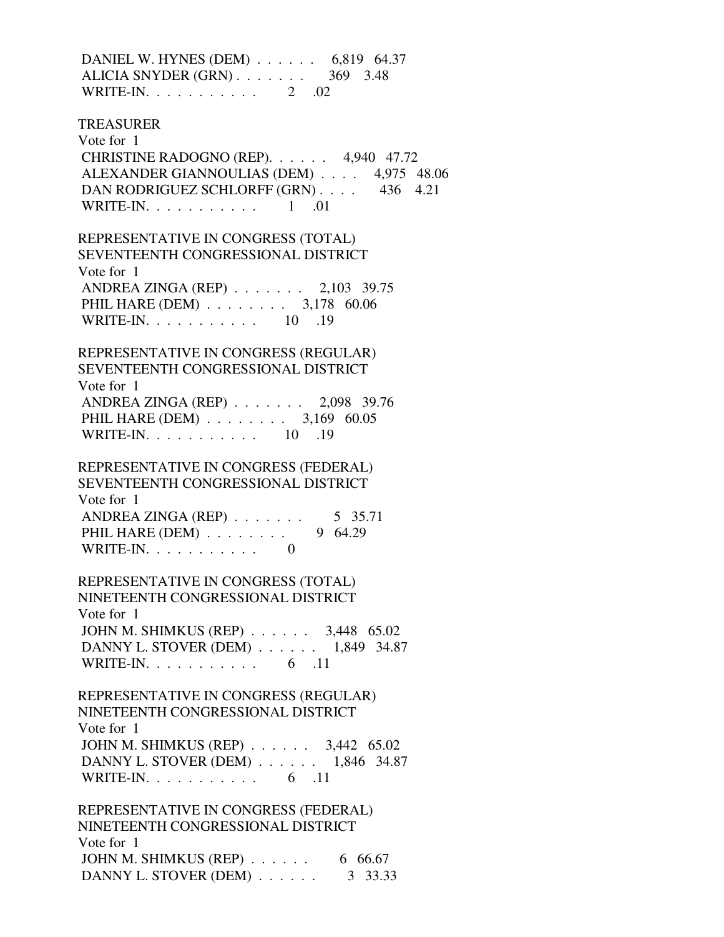DANIEL W. HYNES (DEM) . . . . . . 6,819 64.37 ALICIA SNYDER (GRN) . . . . . . . 369 3.48 WRITE-IN. . . . . . . . . . . . 2 .02 TREASURER Vote for 1 CHRISTINE RADOGNO (REP). . . . . . 4,940 47.72 ALEXANDER GIANNOULIAS (DEM) . . . . 4,975 48.06 DAN RODRIGUEZ SCHLORFF (GRN) . . . . 436 4.21 WRITE-IN. . . . . . . . . . . . 1 .01 REPRESENTATIVE IN CONGRESS (TOTAL) SEVENTEENTH CONGRESSIONAL DISTRICT Vote for 1 ANDREA ZINGA (REP) . . . . . . . 2,103 39.75 PHIL HARE (DEM) . . . . . . . . 3,178 60.06 WRITE-IN. . . . . . . . . . . . 10 .19 REPRESENTATIVE IN CONGRESS (REGULAR) SEVENTEENTH CONGRESSIONAL DISTRICT Vote for 1 ANDREA ZINGA (REP) . . . . . . . 2,098 39.76 PHIL HARE (DEM) . . . . . . . . 3,169 60.05 WRITE-IN. . . . . . . . . . . . 10 .19 REPRESENTATIVE IN CONGRESS (FEDERAL) SEVENTEENTH CONGRESSIONAL DISTRICT Vote for 1 ANDREA ZINGA (REP) . . . . . . . 5 35.71 PHIL HARE (DEM) . . . . . . . . 9 64.29 WRITE-IN.  $\ldots$  . . . . . . . . 0 REPRESENTATIVE IN CONGRESS (TOTAL) NINETEENTH CONGRESSIONAL DISTRICT Vote for 1 JOHN M. SHIMKUS (REP) . . . . . . 3,448 65.02 DANNY L. STOVER (DEM) . . . . . . 1,849 34.87 WRITE-IN. . . . . . . . . . . . 6 .11 REPRESENTATIVE IN CONGRESS (REGULAR) NINETEENTH CONGRESSIONAL DISTRICT Vote for 1 JOHN M. SHIMKUS (REP) . . . . . . 3,442 65.02 DANNY L. STOVER (DEM) . . . . . . 1,846 34.87 WRITE-IN. . . . . . . . . . . . 6 .11 REPRESENTATIVE IN CONGRESS (FEDERAL) NINETEENTH CONGRESSIONAL DISTRICT Vote for 1 JOHN M. SHIMKUS (REP) . . . . . . 6 66.67 DANNY L. STOVER (DEM) . . . . . . . 3 33.33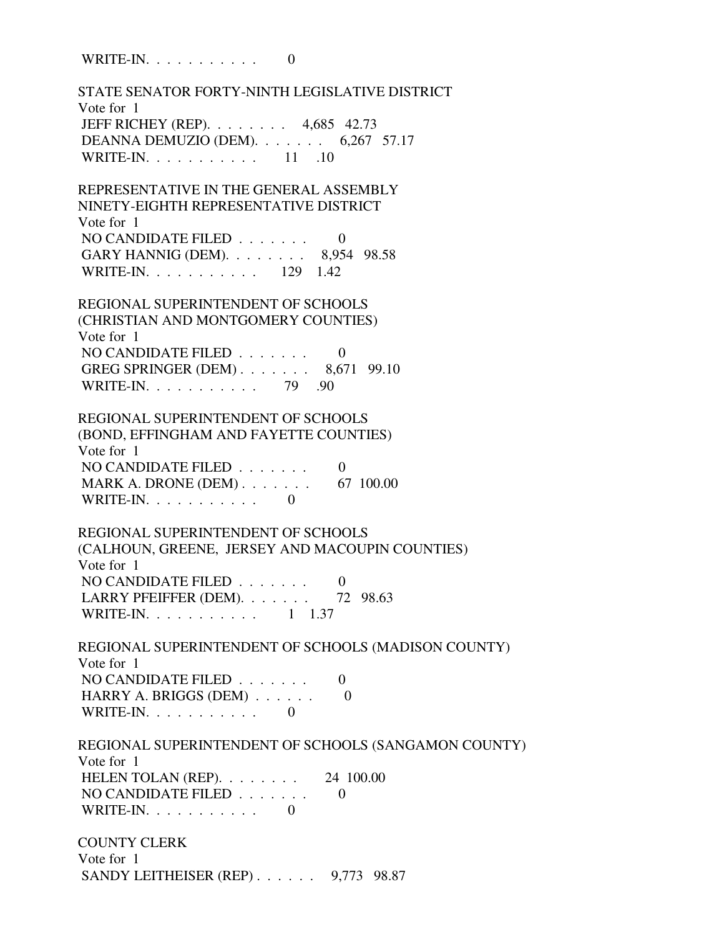WRITE-IN.  $\ldots$  . . . . . . . . 0

 STATE SENATOR FORTY-NINTH LEGISLATIVE DISTRICT Vote for 1 JEFF RICHEY (REP). . . . . . . . 4,685 42.73 DEANNA DEMUZIO (DEM). . . . . . . 6,267 57.17 WRITE-IN. . . . . . . . . . . . 11 .10 REPRESENTATIVE IN THE GENERAL ASSEMBLY NINETY-EIGHTH REPRESENTATIVE DISTRICT Vote for 1 NO CANDIDATE FILED  $\ldots \ldots$  0 GARY HANNIG (DEM). . . . . . . . 8,954 98.58 WRITE-IN. . . . . . . . . . . 129 1.42 REGIONAL SUPERINTENDENT OF SCHOOLS (CHRISTIAN AND MONTGOMERY COUNTIES) Vote for 1 NO CANDIDATE FILED  $\ldots \ldots$  0 GREG SPRINGER (DEM) . . . . . . . 8,671 99.10 WRITE-IN. . . . . . . . . . . 79 .90 REGIONAL SUPERINTENDENT OF SCHOOLS (BOND, EFFINGHAM AND FAYETTE COUNTIES) Vote for 1 NO CANDIDATE FILED . . . . . . . 0 MARK A. DRONE (DEM) . . . . . . . . 67 100.00 WRITE-IN.  $\ldots$  . . . . . . . . 0 REGIONAL SUPERINTENDENT OF SCHOOLS (CALHOUN, GREENE, JERSEY AND MACOUPIN COUNTIES) Vote for 1 NO CANDIDATE FILED . . . . . . . 0 LARRY PFEIFFER (DEM). . . . . . . 72 98.63 WRITE-IN. . . . . . . . . . . . 1 1.37 REGIONAL SUPERINTENDENT OF SCHOOLS (MADISON COUNTY) Vote for 1 NO CANDIDATE FILED  $\ldots \ldots$  0 HARRY A. BRIGGS (DEM) . . . . . . 0 WRITE-IN.  $\ldots$  . . . . . . . . 0 REGIONAL SUPERINTENDENT OF SCHOOLS (SANGAMON COUNTY) Vote for 1 HELEN TOLAN (REP). . . . . . . . 24 100.00 NO CANDIDATE FILED . . . . . . . 0 WRITE-IN.  $\ldots$  . . . . . . . . 0 COUNTY CLERK Vote for 1 SANDY LEITHEISER (REP) . . . . . . 9,773 98.87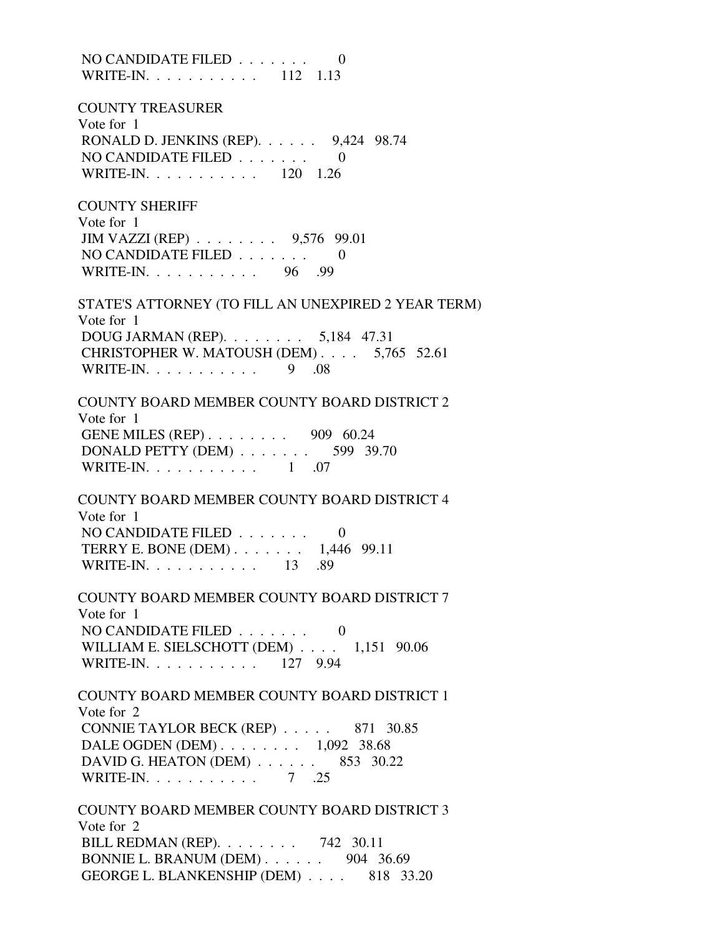NO CANDIDATE FILED . . . . . . . 0 WRITE-IN. . . . . . . . . . . 112 1.13 COUNTY TREASURER Vote for 1 RONALD D. JENKINS (REP). . . . . . 9,424 98.74 NO CANDIDATE FILED . . . . . . . 0 WRITE-IN. . . . . . . . . . . 120 1.26 COUNTY SHERIFF Vote for 1 JIM VAZZI (REP) . . . . . . . . 9,576 99.01 NO CANDIDATE FILED  $\ldots \ldots$  0 WRITE-IN. . . . . . . . . . . 96 .99 STATE'S ATTORNEY (TO FILL AN UNEXPIRED 2 YEAR TERM) Vote for 1 DOUG JARMAN (REP). . . . . . . . 5,184 47.31 CHRISTOPHER W. MATOUSH (DEM) . . . . 5,765 52.61 WRITE-IN. . . . . . . . . . . 9 .08 COUNTY BOARD MEMBER COUNTY BOARD DISTRICT 2 Vote for 1 GENE MILES (REP) . . . . . . . . 909 60.24 DONALD PETTY (DEM) . . . . . . . . 599 39.70 WRITE-IN.  $\ldots$  . . . . . . . . . 1 .07 COUNTY BOARD MEMBER COUNTY BOARD DISTRICT 4 Vote for 1 NO CANDIDATE FILED  $\ldots \ldots \ldots$  TERRY E. BONE (DEM) . . . . . . . 1,446 99.11 WRITE-IN. . . . . . . . . . . . 13 .89 COUNTY BOARD MEMBER COUNTY BOARD DISTRICT 7 Vote for 1 NO CANDIDATE FILED . . . . . . . 0 WILLIAM E. SIELSCHOTT (DEM) . . . . 1,151 90.06 WRITE-IN. . . . . . . . . . . 127 9.94 COUNTY BOARD MEMBER COUNTY BOARD DISTRICT 1 Vote for 2 CONNIE TAYLOR BECK (REP) . . . . . 871 30.85 DALE OGDEN (DEM) . . . . . . . . 1,092 38.68 DAVID G. HEATON (DEM) . . . . . . 853 30.22 WRITE-IN. . . . . . . . . . . 7 .25 COUNTY BOARD MEMBER COUNTY BOARD DISTRICT 3 Vote for 2 BILL REDMAN (REP). . . . . . . . 742 30.11

 BONNIE L. BRANUM (DEM) . . . . . . 904 36.69 GEORGE L. BLANKENSHIP (DEM) . . . . 818 33.20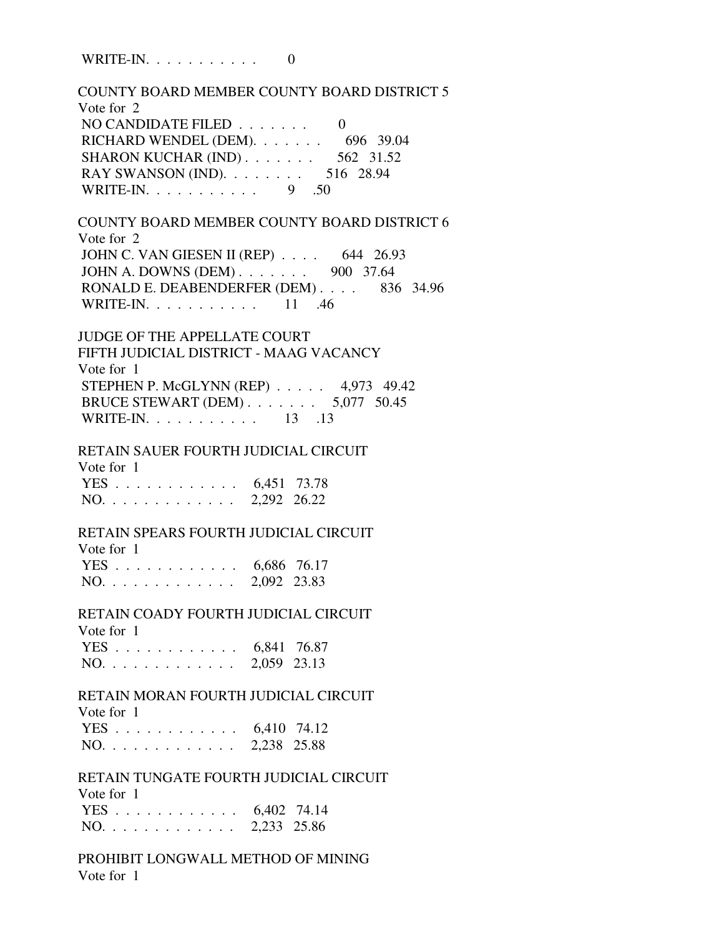WRITE-IN.  $\ldots$  . . . . . . . . 0

 COUNTY BOARD MEMBER COUNTY BOARD DISTRICT 5 Vote for 2 NO CANDIDATE FILED  $\ldots \ldots$  0 RICHARD WENDEL (DEM). . . . . . . 696 39.04 SHARON KUCHAR (IND) . . . . . . . . 562 31.52 RAY SWANSON (IND). . . . . . . . . 516 28.94 WRITE-IN. . . . . . . . . . . 9 .50 COUNTY BOARD MEMBER COUNTY BOARD DISTRICT 6 Vote for 2 JOHN C. VAN GIESEN II (REP) . . . . 644 26.93 JOHN A. DOWNS (DEM) . . . . . . . 900 37.64 RONALD E. DEABENDERFER (DEM) . . . . 836 34.96 WRITE-IN. . . . . . . . . . . . 11 .46 JUDGE OF THE APPELLATE COURT FIFTH JUDICIAL DISTRICT - MAAG VACANCY Vote for 1 STEPHEN P. McGLYNN (REP) . . . . . 4,973 49.42 BRUCE STEWART (DEM) . . . . . . . 5,077 50.45 WRITE-IN. . . . . . . . . . . . 13 .13 RETAIN SAUER FOURTH JUDICIAL CIRCUIT Vote for 1 YES . . . . . . . . . . . . 6,451 73.78 NO. . . . . . . . . . . . . 2,292 26.22 RETAIN SPEARS FOURTH JUDICIAL CIRCUIT Vote for 1 YES . . . . . . . . . . . . 6,686 76.17 NO. . . . . . . . . . . . . 2,092 23.83 RETAIN COADY FOURTH JUDICIAL CIRCUIT Vote for 1 YES . . . . . . . . . . . . 6,841 76.87 NO. . . . . . . . . . . . . 2,059 23.13 RETAIN MORAN FOURTH JUDICIAL CIRCUIT Vote for 1 YES . . . . . . . . . . . . 6,410 74.12 NO. . . . . . . . . . . . . 2,238 25.88 RETAIN TUNGATE FOURTH JUDICIAL CIRCUIT Vote for 1 YES . . . . . . . . . . . . 6,402 74.14 NO. . . . . . . . . . . . . 2,233 25.86 PROHIBIT LONGWALL METHOD OF MINING Vote for 1